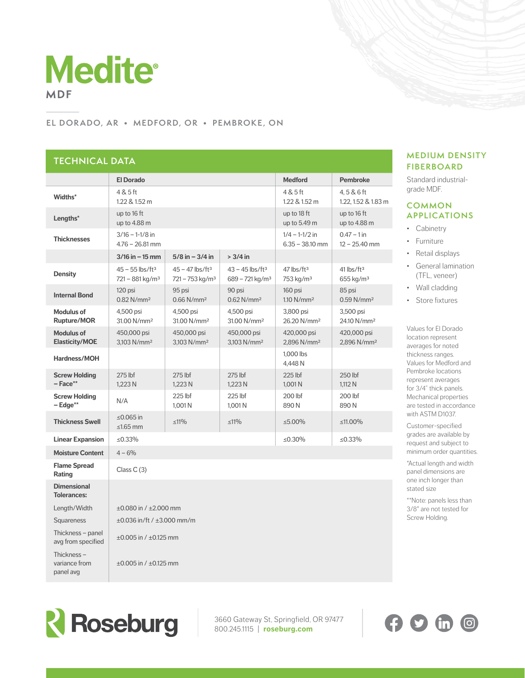

#### **EL DORADO, AR • MEDFORD, OR • PEMBROKE, ON**

# **TECHNICAL DATA**

| ILUIINUML <i>U</i> AIA                     |                                                                |                                                                |                                                                |                                                   |                                                     |  |
|--------------------------------------------|----------------------------------------------------------------|----------------------------------------------------------------|----------------------------------------------------------------|---------------------------------------------------|-----------------------------------------------------|--|
|                                            | <b>El Dorado</b>                                               |                                                                |                                                                | <b>Medford</b>                                    | <b>Pembroke</b>                                     |  |
| Widths*                                    | 4 & 5 ft<br>1.22 & 1.52 m                                      |                                                                |                                                                | 4 & 5 ft<br>1.22 & 1.52 m                         | 4,5 & 6 ft<br>1.22, 1.52 & 1.83 m                   |  |
| Lengths*                                   | up to 16 ft<br>up to 4.88 m                                    |                                                                |                                                                | up to 18 ft<br>up to 5.49 m                       | up to 16 ft<br>up to 4.88 m                         |  |
| <b>Thicknesses</b>                         | $3/16 - 1 - 1/8$ in<br>$4.76 - 26.81$ mm                       |                                                                |                                                                | $1/4 - 1 - 1/2$ in<br>$6.35 - 38.10$ mm           | $0.47 - 1$ in<br>$12 - 25.40$ mm                    |  |
|                                            | $3/16$ in $-15$ mm                                             | $5/8$ in $-3/4$ in                                             | $> 3/4$ in                                                     |                                                   |                                                     |  |
| <b>Density</b>                             | $45 - 55$ lbs/ft <sup>3</sup><br>$721 - 881$ kg/m <sup>3</sup> | $45 - 47$ lbs/ft <sup>3</sup><br>$721 - 753$ kg/m <sup>3</sup> | $43 - 45$ lbs/ft <sup>3</sup><br>$689 - 721$ kg/m <sup>3</sup> | $47$ lbs/ft <sup>3</sup><br>753 kg/m <sup>3</sup> | $41$ lbs/ft <sup>3</sup><br>$655$ kg/m <sup>3</sup> |  |
| <b>Internal Bond</b>                       | 120 psi<br>$0.82$ N/mm <sup>2</sup>                            | 95 psi<br>$0.66$ N/mm <sup>2</sup>                             | 90 psi<br>$0.62$ N/mm <sup>2</sup>                             | 160 psi<br>1.10 N/mm <sup>2</sup>                 | 85 psi<br>$0.59$ N/mm <sup>2</sup>                  |  |
| <b>Modulus of</b><br><b>Rupture/MOR</b>    | 4,500 psi<br>31.00 N/mm <sup>2</sup>                           | 4,500 psi<br>31.00 N/mm <sup>2</sup>                           | 4,500 psi<br>31.00 N/mm <sup>2</sup>                           | 3.800 psi<br>26.20 N/mm <sup>2</sup>              | 3,500 psi<br>24.10 N/mm <sup>2</sup>                |  |
| <b>Modulus of</b><br><b>Elasticity/MOE</b> | 450,000 psi<br>3.103 N/mm <sup>2</sup>                         | 450,000 psi<br>3.103 N/mm <sup>2</sup>                         | 450,000 psi<br>3,103 N/mm <sup>2</sup>                         | 420,000 psi<br>2.896 N/mm <sup>2</sup>            | 420,000 psi<br>2,896 N/mm <sup>2</sup>              |  |
| Hardness/MOH                               |                                                                |                                                                |                                                                | 1.000 lbs<br>4,448 N                              |                                                     |  |
| <b>Screw Holding</b><br>$-$ Face**         | $275$ lbf<br>1,223 N                                           | $275$ lbf<br>1,223 N                                           | $275$ lbf<br>1,223 N                                           | $225$ lbf<br>1,001 N                              | 250 lbf<br>1,112 N                                  |  |
| <b>Screw Holding</b><br>$-$ Edge**         | N/A                                                            | 225 lbf<br>1.001 N                                             | 225 lbf<br>1,001 N                                             | 200 lbf<br>890N                                   | 200 lbf<br>890N                                     |  |
| <b>Thickness Swell</b>                     | ≤0.065 in<br>$\leq 1.65$ mm                                    | $\leq 11\%$                                                    | $\leq 11\%$                                                    | $\leq 5.00\%$                                     | ≤11.00%                                             |  |
| <b>Linear Expansion</b>                    | ≤0.33%                                                         |                                                                |                                                                | ≤0.30%                                            | $\leq 0.33\%$                                       |  |
| <b>Moisture Content</b>                    | $4 - 6%$                                                       |                                                                |                                                                |                                                   |                                                     |  |
| <b>Flame Spread</b><br>Rating              | Class $C(3)$                                                   |                                                                |                                                                |                                                   |                                                     |  |
| <b>Dimensional</b><br><b>Tolerances:</b>   |                                                                |                                                                |                                                                |                                                   |                                                     |  |
| Length/Width                               | $\pm 0.080$ in / $\pm 2.000$ mm                                |                                                                |                                                                |                                                   |                                                     |  |
| Squareness                                 | $\pm 0.036$ in/ft / $\pm 3.000$ mm/m                           |                                                                |                                                                |                                                   |                                                     |  |
| Thickness – panel<br>avg from specified    | $\pm 0.005$ in / $\pm 0.125$ mm                                |                                                                |                                                                |                                                   |                                                     |  |
| Thickness-<br>variance from                | $\pm 0.005$ in / $\pm 0.125$ mm                                |                                                                |                                                                |                                                   |                                                     |  |

#### **MEDIUM DENSITY FIBERBOARD**

Standard industrialgrade MDF.

### **COMMON APPLICATIONS**

- Cabinetry
- Furniture
- Retail displays
- General lamination (TFL, veneer)
- Wall cladding
- Store fixtures

Values for El Dorado location represent averages for noted thickness ranges. Values for Medford and Pembroke locations represent averages for 3/4" thick panels. Mechanical properties are tested in accordance with ASTM D1037.

Customer-specified grades are available by request and subject to minimum order quantities.

\*Actual length and width panel dimensions are one inch longer than stated size

\*\*Note: panels less than 3/8" are not tested for Screw Holding.



panel avg

3660 Gateway St, Springfield, OR 97477 800.245.1115 | **roseburg.com**